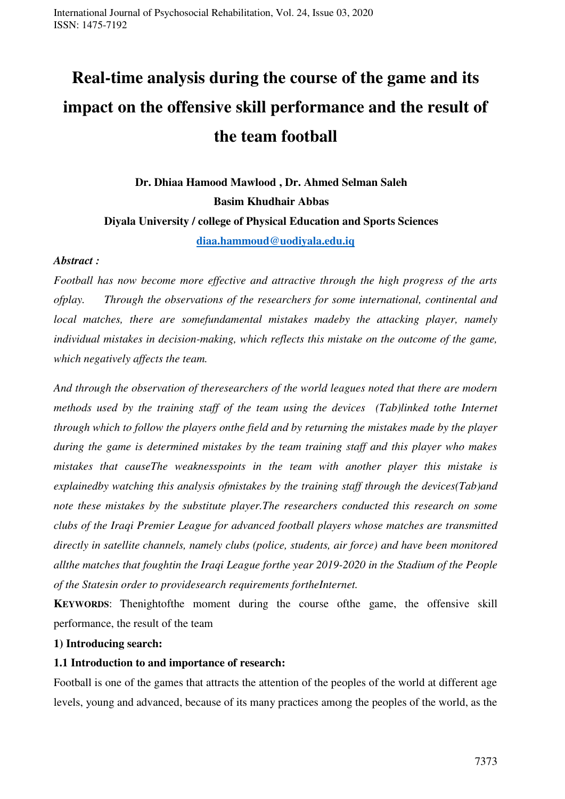# **Real-time analysis during the course of the game and its impact on the offensive skill performance and the result of the team football**

**Dr. Dhiaa Hamood Mawlood , Dr. Ahmed Selman Saleh Basim Khudhair Abbas Diyala University / college of Physical Education and Sports Sciences [diaa.hammoud@uodiyala.edu.iq](mailto:diaa.hammoud@uodiyala.edu.iq)**

#### *Abstract :*

*Football has now become more effective and attractive through the high progress of the arts ofplay. Through the observations of the researchers for some international, continental and local matches, there are somefundamental mistakes madeby the attacking player, namely individual mistakes in decision-making, which reflects this mistake on the outcome of the game, which negatively affects the team.*

*And through the observation of theresearchers of the world leagues noted that there are modern methods used by the training staff of the team using the devices (Tab)linked tothe Internet through which to follow the players onthe field and by returning the mistakes made by the player during the game is determined mistakes by the team training staff and this player who makes mistakes that causeThe weaknesspoints in the team with another player this mistake is explainedby watching this analysis ofmistakes by the training staff through the devices(Tab)and note these mistakes by the substitute player.The researchers conducted this research on some clubs of the Iraqi Premier League for advanced football players whose matches are transmitted directly in satellite channels, namely clubs (police, students, air force) and have been monitored allthe matches that foughtin the Iraqi League forthe year 2019-2020 in the Stadium of the People of the Statesin order to providesearch requirements fortheInternet.* 

**KEYWORDS**: Thenightofthe moment during the course ofthe game, the offensive skill performance, the result of the team

#### **1) Introducing search:**

#### **1.1 Introduction to and importance of research:**

Football is one of the games that attracts the attention of the peoples of the world at different age levels, young and advanced, because of its many practices among the peoples of the world, as the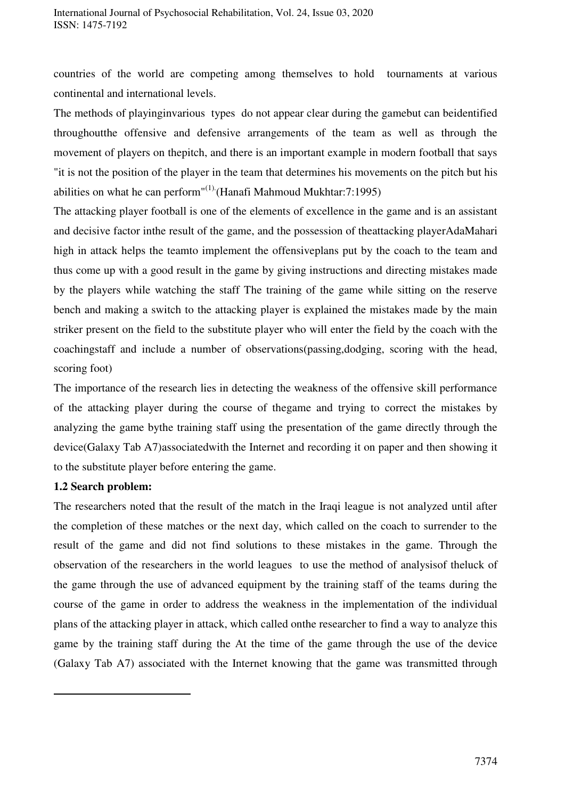countries of the world are competing among themselves to hold tournaments at various continental and international levels.

The methods of playinginvarious types do not appear clear during the gamebut can beidentified throughoutthe offensive and defensive arrangements of the team as well as through the movement of players on thepitch, and there is an important example in modern football that says "it is not the position of the player in the team that determines his movements on the pitch but his abilities on what he can perform<sup>"(1)</sup> (Hanafi Mahmoud Mukhtar: 7:1995)

The attacking player football is one of the elements of excellence in the game and is an assistant and decisive factor inthe result of the game, and the possession of theattacking playerAdaMahari high in attack helps the teamto implement the offensiveplans put by the coach to the team and thus come up with a good result in the game by giving instructions and directing mistakes made by the players while watching the staff The training of the game while sitting on the reserve bench and making a switch to the attacking player is explained the mistakes made by the main striker present on the field to the substitute player who will enter the field by the coach with the coachingstaff and include a number of observations(passing,dodging, scoring with the head, scoring foot)

The importance of the research lies in detecting the weakness of the offensive skill performance of the attacking player during the course of thegame and trying to correct the mistakes by analyzing the game bythe training staff using the presentation of the game directly through the device(Galaxy Tab A7)associatedwith the Internet and recording it on paper and then showing it to the substitute player before entering the game.

### **1.2 Search problem:**

-

The researchers noted that the result of the match in the Iraqi league is not analyzed until after the completion of these matches or the next day, which called on the coach to surrender to the result of the game and did not find solutions to these mistakes in the game. Through the observation of the researchers in the world leagues to use the method of analysisof theluck of the game through the use of advanced equipment by the training staff of the teams during the course of the game in order to address the weakness in the implementation of the individual plans of the attacking player in attack, which called onthe researcher to find a way to analyze this game by the training staff during the At the time of the game through the use of the device (Galaxy Tab A7) associated with the Internet knowing that the game was transmitted through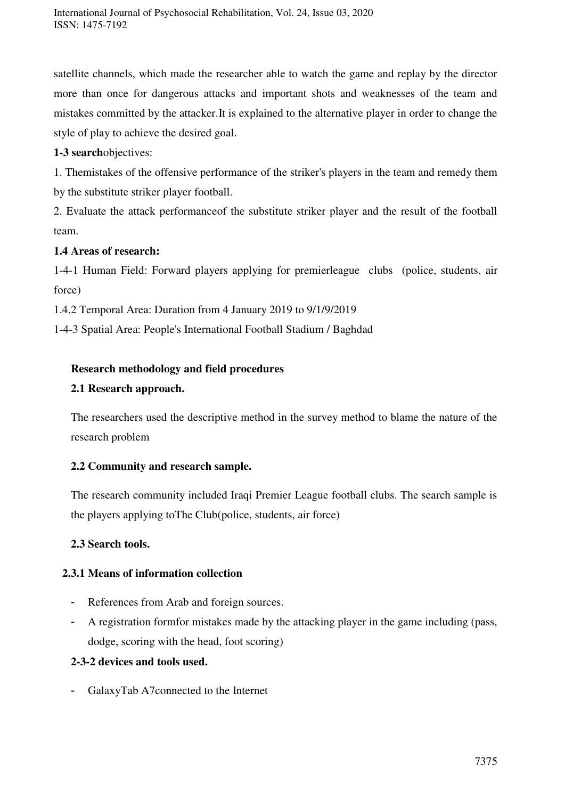satellite channels, which made the researcher able to watch the game and replay by the director more than once for dangerous attacks and important shots and weaknesses of the team and mistakes committed by the attacker.It is explained to the alternative player in order to change the style of play to achieve the desired goal.

**1-3 search**objectives:

1. Themistakes of the offensive performance of the striker's players in the team and remedy them by the substitute striker player football.

2. Evaluate the attack performanceof the substitute striker player and the result of the football team.

# **1.4 Areas of research:**

1-4-1 Human Field: Forward players applying for premierleague clubs (police, students, air force)

1.4.2 Temporal Area: Duration from 4 January 2019 to 9/1/9/2019

1-4-3 Spatial Area: People's International Football Stadium / Baghdad

# **Research methodology and field procedures**

# **2.1 Research approach.**

The researchers used the descriptive method in the survey method to blame the nature of the research problem

# **2.2 Community and research sample.**

The research community included Iraqi Premier League football clubs. The search sample is the players applying toThe Club(police, students, air force)

## **2.3 Search tools.**

# **2.3.1 Means of information collection**

- References from Arab and foreign sources.
- A registration formfor mistakes made by the attacking player in the game including (pass, dodge, scoring with the head, foot scoring)

## **2-3-2 devices and tools used.**

- GalaxyTab A7connected to the Internet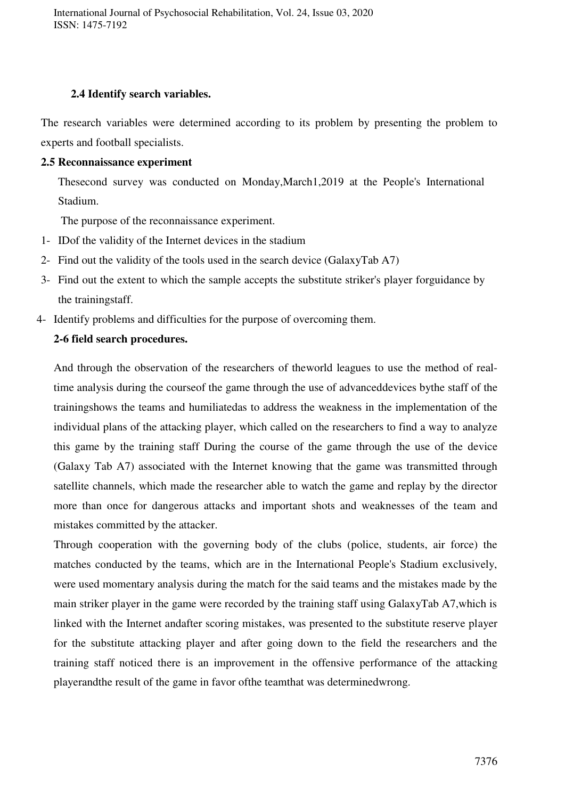## **2.4 Identify search variables.**

The research variables were determined according to its problem by presenting the problem to experts and football specialists.

## **2.5 Reconnaissance experiment**

Thesecond survey was conducted on Monday,March1,2019 at the People's International Stadium.

The purpose of the reconnaissance experiment.

- 1- IDof the validity of the Internet devices in the stadium
- 2- Find out the validity of the tools used in the search device (GalaxyTab A7)
- 3- Find out the extent to which the sample accepts the substitute striker's player forguidance by the trainingstaff.
- 4- Identify problems and difficulties for the purpose of overcoming them.

# **2-6 field search procedures.**

And through the observation of the researchers of theworld leagues to use the method of realtime analysis during the courseof the game through the use of advanceddevices bythe staff of the trainingshows the teams and humiliatedas to address the weakness in the implementation of the individual plans of the attacking player, which called on the researchers to find a way to analyze this game by the training staff During the course of the game through the use of the device (Galaxy Tab A7) associated with the Internet knowing that the game was transmitted through satellite channels, which made the researcher able to watch the game and replay by the director more than once for dangerous attacks and important shots and weaknesses of the team and mistakes committed by the attacker.

Through cooperation with the governing body of the clubs (police, students, air force) the matches conducted by the teams, which are in the International People's Stadium exclusively, were used momentary analysis during the match for the said teams and the mistakes made by the main striker player in the game were recorded by the training staff using GalaxyTab A7,which is linked with the Internet andafter scoring mistakes, was presented to the substitute reserve player for the substitute attacking player and after going down to the field the researchers and the training staff noticed there is an improvement in the offensive performance of the attacking playerandthe result of the game in favor ofthe teamthat was determinedwrong.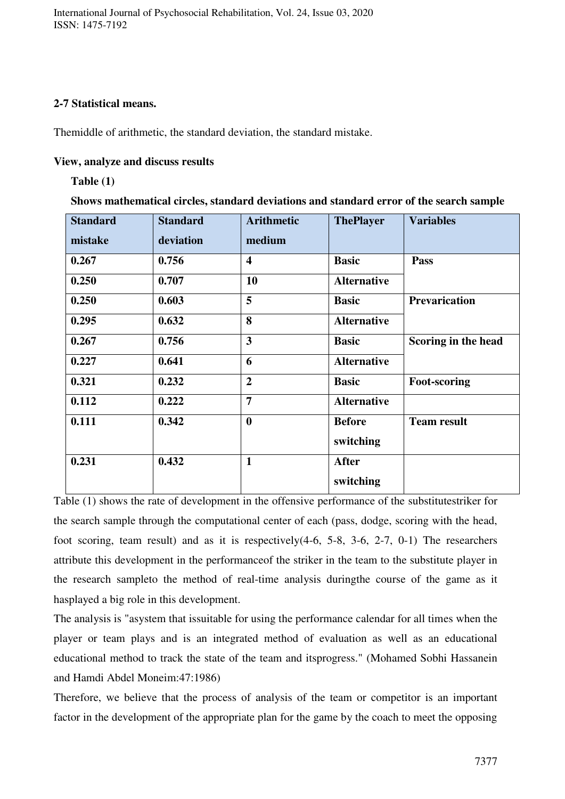## **2-7 Statistical means.**

Themiddle of arithmetic, the standard deviation, the standard mistake.

## **View, analyze and discuss results**

## **Table (1)**

**Shows mathematical circles, standard deviations and standard error of the search sample** 

| <b>Standard</b><br>mistake | <b>Standard</b><br>deviation | <b>Arithmetic</b><br>medium | <b>ThePlayer</b>   | <b>Variables</b>     |
|----------------------------|------------------------------|-----------------------------|--------------------|----------------------|
| 0.267                      | 0.756                        | $\overline{\mathbf{4}}$     | <b>Basic</b>       | Pass                 |
| 0.250                      | 0.707                        | 10                          | <b>Alternative</b> |                      |
| 0.250                      | 0.603                        | 5                           | <b>Basic</b>       | <b>Prevarication</b> |
| 0.295                      | 0.632                        | 8                           | <b>Alternative</b> |                      |
| 0.267                      | 0.756                        | $\overline{\mathbf{3}}$     | <b>Basic</b>       | Scoring in the head  |
| 0.227                      | 0.641                        | 6                           | <b>Alternative</b> |                      |
| 0.321                      | 0.232                        | $\overline{2}$              | <b>Basic</b>       | <b>Foot-scoring</b>  |
| 0.112                      | 0.222                        | $\overline{7}$              | <b>Alternative</b> |                      |
| 0.111                      | 0.342                        | $\boldsymbol{0}$            | <b>Before</b>      | <b>Team result</b>   |
|                            |                              |                             | switching          |                      |
| 0.231                      | 0.432                        | $\mathbf{1}$                | <b>After</b>       |                      |
|                            |                              |                             | switching          |                      |

Table (1) shows the rate of development in the offensive performance of the substitutestriker for the search sample through the computational center of each (pass, dodge, scoring with the head, foot scoring, team result) and as it is respectively(4-6, 5-8, 3-6, 2-7, 0-1) The researchers attribute this development in the performanceof the striker in the team to the substitute player in the research sampleto the method of real-time analysis duringthe course of the game as it hasplayed a big role in this development.

The analysis is "asystem that issuitable for using the performance calendar for all times when the player or team plays and is an integrated method of evaluation as well as an educational educational method to track the state of the team and itsprogress." (Mohamed Sobhi Hassanein and Hamdi Abdel Moneim:47:1986)

Therefore, we believe that the process of analysis of the team or competitor is an important factor in the development of the appropriate plan for the game by the coach to meet the opposing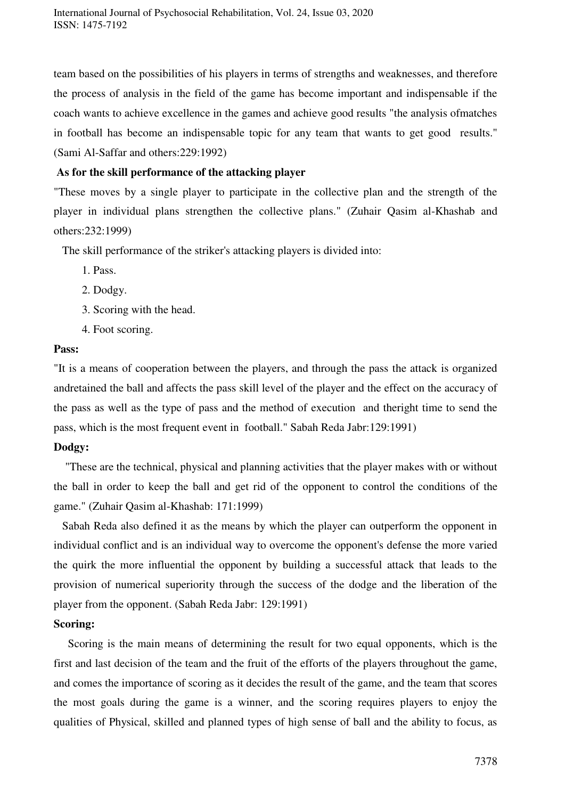team based on the possibilities of his players in terms of strengths and weaknesses, and therefore the process of analysis in the field of the game has become important and indispensable if the coach wants to achieve excellence in the games and achieve good results "the analysis ofmatches in football has become an indispensable topic for any team that wants to get good results." (Sami Al-Saffar and others:229:1992)

## **As for the skill performance of the attacking player**

"These moves by a single player to participate in the collective plan and the strength of the player in individual plans strengthen the collective plans." (Zuhair Qasim al-Khashab and others:232:1999)

The skill performance of the striker's attacking players is divided into:

- 1. Pass.
- 2. Dodgy.
- 3. Scoring with the head.
- 4. Foot scoring.

#### **Pass:**

"It is a means of cooperation between the players, and through the pass the attack is organized andretained the ball and affects the pass skill level of the player and the effect on the accuracy of the pass as well as the type of pass and the method of execution and theright time to send the pass, which is the most frequent event in football." Sabah Reda Jabr:129:1991)

#### **Dodgy:**

 "These are the technical, physical and planning activities that the player makes with or without the ball in order to keep the ball and get rid of the opponent to control the conditions of the game." (Zuhair Qasim al-Khashab: 171:1999)

 Sabah Reda also defined it as the means by which the player can outperform the opponent in individual conflict and is an individual way to overcome the opponent's defense the more varied the quirk the more influential the opponent by building a successful attack that leads to the provision of numerical superiority through the success of the dodge and the liberation of the player from the opponent. (Sabah Reda Jabr: 129:1991)

### **Scoring:**

 Scoring is the main means of determining the result for two equal opponents, which is the first and last decision of the team and the fruit of the efforts of the players throughout the game, and comes the importance of scoring as it decides the result of the game, and the team that scores the most goals during the game is a winner, and the scoring requires players to enjoy the qualities of Physical, skilled and planned types of high sense of ball and the ability to focus, as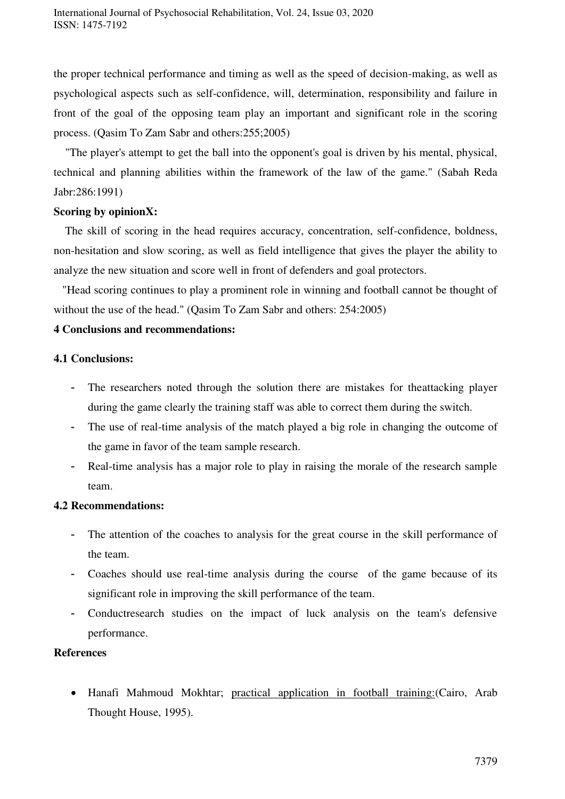the proper technical performance and timing as well as the speed of decision-making, as well as psychological aspects such as self-confidence, will, determination, responsibility and failure in front of the goal of the opposing team play an important and significant role in the scoring process. (Qasim To Zam Sabr and others:255;2005)

 "The player's attempt to get the ball into the opponent's goal is driven by his mental, physical, technical and planning abilities within the framework of the law of the game." (Sabah Reda Jabr:286:1991)

### **Scoring by opinionX:**

 The skill of scoring in the head requires accuracy, concentration, self-confidence, boldness, non-hesitation and slow scoring, as well as field intelligence that gives the player the ability to analyze the new situation and score well in front of defenders and goal protectors.

 "Head scoring continues to play a prominent role in winning and football cannot be thought of without the use of the head." (Qasim To Zam Sabr and others: 254:2005)

### **4 Conclusions and recommendations:**

## **4.1 Conclusions:**

- The researchers noted through the solution there are mistakes for theattacking player during the game clearly the training staff was able to correct them during the switch.
- The use of real-time analysis of the match played a big role in changing the outcome of the game in favor of the team sample research.
- Real-time analysis has a major role to play in raising the morale of the research sample team.

### **4.2 Recommendations:**

- The attention of the coaches to analysis for the great course in the skill performance of the team.
- Coaches should use real-time analysis during the course of the game because of its significant role in improving the skill performance of the team.
- Conductresearch studies on the impact of luck analysis on the team's defensive performance.

### **References**

 Hanafi Mahmoud Mokhtar; practical application in football training:(Cairo, Arab Thought House, 1995).